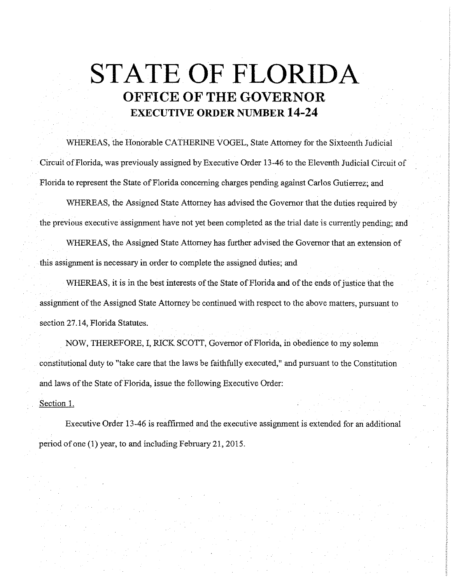## **STATE OF FLORIDA OFFICE OF THE GOVERNOR EXECUTIVE ORDER NUMBER 14-24**

WHEREAS, the Honorable CATHERINE VOGEL, State Attorney for the Sixteenth Judicial Circuit of Florida, was previously assigned by Executive Order 13-46 to the Eleventh Judicial Circuit of Florida to represent the State of Florida concerning charges pending against Carlos Gutierrez; and

WHEREAS, the Assigned State Attorney has advised the Governor that the duties required by the previous executive assignment have not yet been completed as the trial date is currently pending; and

WHEREAS, the Assigned State Attorney has further advised the Governor that an extension of this assignment is necessary in order to complete the assigned duties; and

WHEREAS, it is in the best interests of the State of Florida and of the ends of justice that the assignment of the Assigned State Attorney be continued with respect to the above matters, pursuant to section 27 .14, Florida Statutes.

NOW, THEREFORE, I, RICK SCOTT, Governor of Florida, in obedience to my solemn constitutional duty to "take care that the laws be faithfully executed," and pursuant to the Constitution and laws of the State of Florida, issue the following Executive Order:

Section 1.

Executive Order 13-46 is reaffirmed and the executive assignment is extended for an additional period of one (1) year, to and including Febrnary 21, 2015.